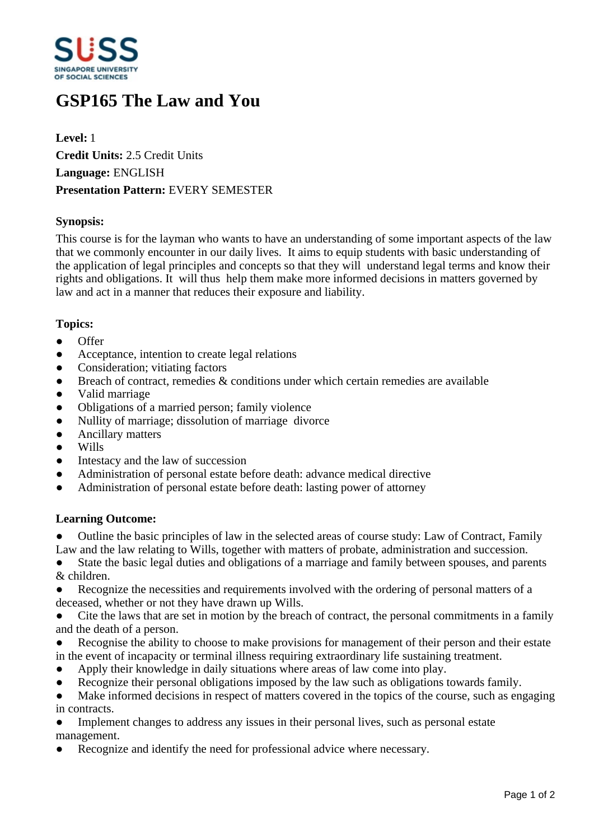

# **GSP165 The Law and You**

**Level:** 1 **Credit Units:** 2.5 Credit Units **Language:** ENGLISH **Presentation Pattern:** EVERY SEMESTER

### **Synopsis:**

This course is for the layman who wants to have an understanding of some important aspects of the law that we commonly encounter in our daily lives. It aims to equip students with basic understanding of the application of legal principles and concepts so that they will understand legal terms and know their rights and obligations. It will thus help them make more informed decisions in matters governed by law and act in a manner that reduces their exposure and liability.

### **Topics:**

- Offer
- Acceptance, intention to create legal relations
- Consideration; vitiating factors
- $\bullet$  Breach of contract, remedies  $\&$  conditions under which certain remedies are available
- ƔValid marriage
- ƔObligations of a married person; family violence
- Nullity of marriage; dissolution of marriage divorce
- Ancillary matters
- Wills
- Intestacy and the law of succession
- Administration of personal estate before death: advance medical directive
- Administration of personal estate before death: lasting power of attorney

#### **Learning Outcome:**

- Outline the basic principles of law in the selected areas of course study: Law of Contract, Family Law and the law relating to Wills, together with matters of probate, administration and succession.
- State the basic legal duties and obligations of a marriage and family between spouses, and parents & children.
- Recognize the necessities and requirements involved with the ordering of personal matters of a deceased, whether or not they have drawn up Wills.
- Cite the laws that are set in motion by the breach of contract, the personal commitments in a family and the death of a person.
- Recognise the ability to choose to make provisions for management of their person and their estate in the event of incapacity or terminal illness requiring extraordinary life sustaining treatment.
- Apply their knowledge in daily situations where areas of law come into play.
- Recognize their personal obligations imposed by the law such as obligations towards family.

• Make informed decisions in respect of matters covered in the topics of the course, such as engaging in contracts.

Implement changes to address any issues in their personal lives, such as personal estate management.

Recognize and identify the need for professional advice where necessary.